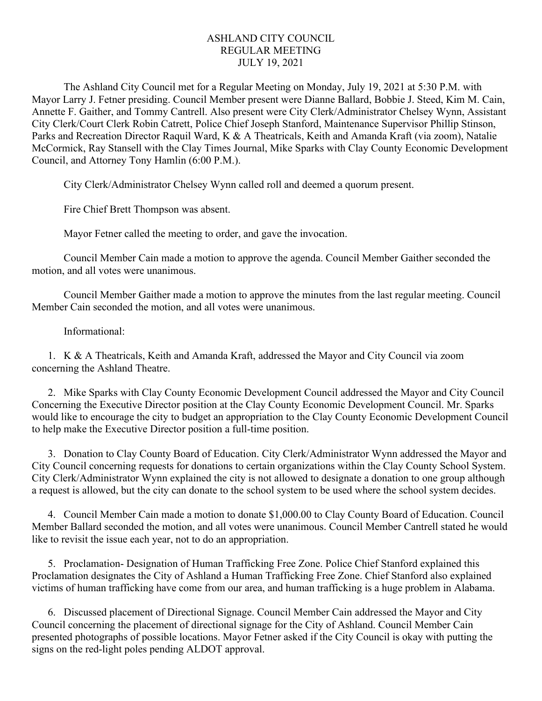## ASHLAND CITY COUNCIL REGULAR MEETING JULY 19, 2021

The Ashland City Council met for a Regular Meeting on Monday, July 19, 2021 at 5:30 P.M. with Mayor Larry J. Fetner presiding. Council Member present were Dianne Ballard, Bobbie J. Steed, Kim M. Cain, Annette F. Gaither, and Tommy Cantrell. Also present were City Clerk/Administrator Chelsey Wynn, Assistant City Clerk/Court Clerk Robin Catrett, Police Chief Joseph Stanford, Maintenance Supervisor Phillip Stinson, Parks and Recreation Director Raquil Ward, K & A Theatricals, Keith and Amanda Kraft (via zoom), Natalie McCormick, Ray Stansell with the Clay Times Journal, Mike Sparks with Clay County Economic Development Council, and Attorney Tony Hamlin (6:00 P.M.).

City Clerk/Administrator Chelsey Wynn called roll and deemed a quorum present.

Fire Chief Brett Thompson was absent.

Mayor Fetner called the meeting to order, and gave the invocation.

Council Member Cain made a motion to approve the agenda. Council Member Gaither seconded the motion, and all votes were unanimous.

Council Member Gaither made a motion to approve the minutes from the last regular meeting. Council Member Cain seconded the motion, and all votes were unanimous.

## Informational:

1. K & A Theatricals, Keith and Amanda Kraft, addressed the Mayor and City Council via zoom concerning the Ashland Theatre.

2. Mike Sparks with Clay County Economic Development Council addressed the Mayor and City Council Concerning the Executive Director position at the Clay County Economic Development Council. Mr. Sparks would like to encourage the city to budget an appropriation to the Clay County Economic Development Council to help make the Executive Director position a full-time position.

3. Donation to Clay County Board of Education. City Clerk/Administrator Wynn addressed the Mayor and City Council concerning requests for donations to certain organizations within the Clay County School System. City Clerk/Administrator Wynn explained the city is not allowed to designate a donation to one group although a request is allowed, but the city can donate to the school system to be used where the school system decides.

4. Council Member Cain made a motion to donate \$1,000.00 to Clay County Board of Education. Council Member Ballard seconded the motion, and all votes were unanimous. Council Member Cantrell stated he would like to revisit the issue each year, not to do an appropriation.

5. Proclamation- Designation of Human Trafficking Free Zone. Police Chief Stanford explained this Proclamation designates the City of Ashland a Human Trafficking Free Zone. Chief Stanford also explained victims of human trafficking have come from our area, and human trafficking is a huge problem in Alabama.

6. Discussed placement of Directional Signage. Council Member Cain addressed the Mayor and City Council concerning the placement of directional signage for the City of Ashland. Council Member Cain presented photographs of possible locations. Mayor Fetner asked if the City Council is okay with putting the signs on the red-light poles pending ALDOT approval.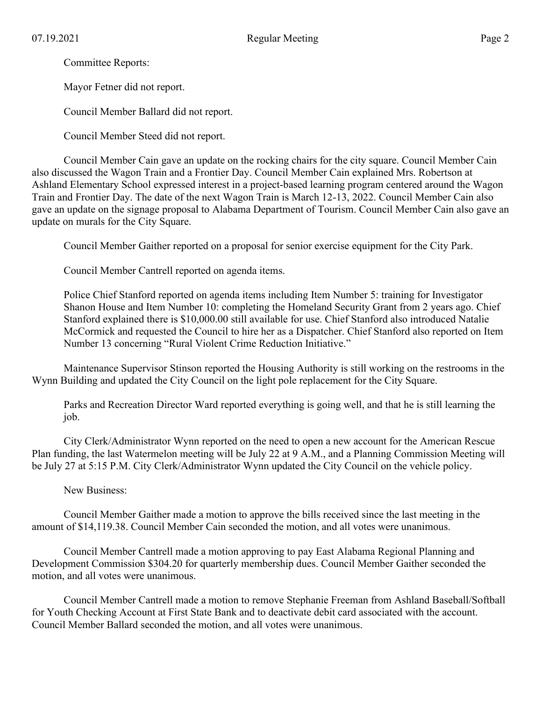Committee Reports:

Mayor Fetner did not report.

Council Member Ballard did not report.

Council Member Steed did not report.

Council Member Cain gave an update on the rocking chairs for the city square. Council Member Cain also discussed the Wagon Train and a Frontier Day. Council Member Cain explained Mrs. Robertson at Ashland Elementary School expressed interest in a project-based learning program centered around the Wagon Train and Frontier Day. The date of the next Wagon Train is March 12-13, 2022. Council Member Cain also gave an update on the signage proposal to Alabama Department of Tourism. Council Member Cain also gave an update on murals for the City Square.

Council Member Gaither reported on a proposal for senior exercise equipment for the City Park.

Council Member Cantrell reported on agenda items.

Police Chief Stanford reported on agenda items including Item Number 5: training for Investigator Shanon House and Item Number 10: completing the Homeland Security Grant from 2 years ago. Chief Stanford explained there is \$10,000.00 still available for use. Chief Stanford also introduced Natalie McCormick and requested the Council to hire her as a Dispatcher. Chief Stanford also reported on Item Number 13 concerning "Rural Violent Crime Reduction Initiative."

Maintenance Supervisor Stinson reported the Housing Authority is still working on the restrooms in the Wynn Building and updated the City Council on the light pole replacement for the City Square.

Parks and Recreation Director Ward reported everything is going well, and that he is still learning the job.

City Clerk/Administrator Wynn reported on the need to open a new account for the American Rescue Plan funding, the last Watermelon meeting will be July 22 at 9 A.M., and a Planning Commission Meeting will be July 27 at 5:15 P.M. City Clerk/Administrator Wynn updated the City Council on the vehicle policy.

New Business:

Council Member Gaither made a motion to approve the bills received since the last meeting in the amount of \$14,119.38. Council Member Cain seconded the motion, and all votes were unanimous.

Council Member Cantrell made a motion approving to pay East Alabama Regional Planning and Development Commission \$304.20 for quarterly membership dues. Council Member Gaither seconded the motion, and all votes were unanimous.

Council Member Cantrell made a motion to remove Stephanie Freeman from Ashland Baseball/Softball for Youth Checking Account at First State Bank and to deactivate debit card associated with the account. Council Member Ballard seconded the motion, and all votes were unanimous.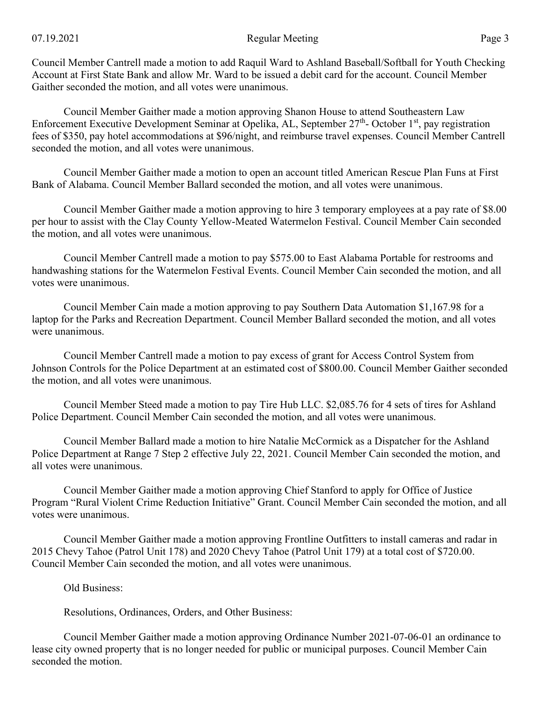Council Member Cantrell made a motion to add Raquil Ward to Ashland Baseball/Softball for Youth Checking Account at First State Bank and allow Mr. Ward to be issued a debit card for the account. Council Member Gaither seconded the motion, and all votes were unanimous.

Council Member Gaither made a motion approving Shanon House to attend Southeastern Law Enforcement Executive Development Seminar at Opelika, AL, September 27<sup>th</sup>- October 1<sup>st</sup>, pay registration fees of \$350, pay hotel accommodations at \$96/night, and reimburse travel expenses. Council Member Cantrell seconded the motion, and all votes were unanimous.

Council Member Gaither made a motion to open an account titled American Rescue Plan Funs at First Bank of Alabama. Council Member Ballard seconded the motion, and all votes were unanimous.

Council Member Gaither made a motion approving to hire 3 temporary employees at a pay rate of \$8.00 per hour to assist with the Clay County Yellow-Meated Watermelon Festival. Council Member Cain seconded the motion, and all votes were unanimous.

Council Member Cantrell made a motion to pay \$575.00 to East Alabama Portable for restrooms and handwashing stations for the Watermelon Festival Events. Council Member Cain seconded the motion, and all votes were unanimous.

Council Member Cain made a motion approving to pay Southern Data Automation \$1,167.98 for a laptop for the Parks and Recreation Department. Council Member Ballard seconded the motion, and all votes were unanimous.

Council Member Cantrell made a motion to pay excess of grant for Access Control System from Johnson Controls for the Police Department at an estimated cost of \$800.00. Council Member Gaither seconded the motion, and all votes were unanimous.

Council Member Steed made a motion to pay Tire Hub LLC. \$2,085.76 for 4 sets of tires for Ashland Police Department. Council Member Cain seconded the motion, and all votes were unanimous.

Council Member Ballard made a motion to hire Natalie McCormick as a Dispatcher for the Ashland Police Department at Range 7 Step 2 effective July 22, 2021. Council Member Cain seconded the motion, and all votes were unanimous.

Council Member Gaither made a motion approving Chief Stanford to apply for Office of Justice Program "Rural Violent Crime Reduction Initiative" Grant. Council Member Cain seconded the motion, and all votes were unanimous.

Council Member Gaither made a motion approving Frontline Outfitters to install cameras and radar in 2015 Chevy Tahoe (Patrol Unit 178) and 2020 Chevy Tahoe (Patrol Unit 179) at a total cost of \$720.00. Council Member Cain seconded the motion, and all votes were unanimous.

Old Business:

Resolutions, Ordinances, Orders, and Other Business:

Council Member Gaither made a motion approving Ordinance Number 2021-07-06-01 an ordinance to lease city owned property that is no longer needed for public or municipal purposes. Council Member Cain seconded the motion.